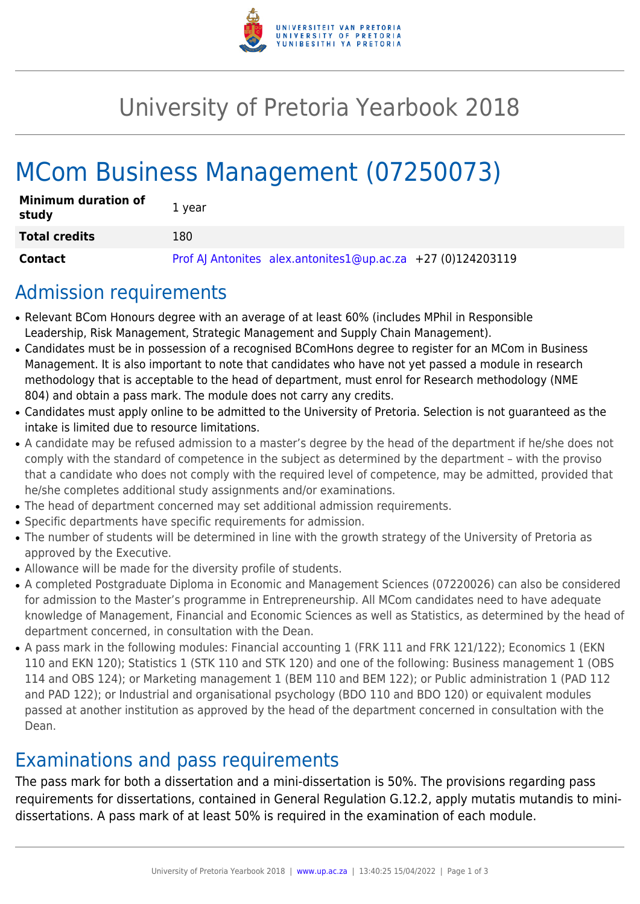

# University of Pretoria Yearbook 2018

# MCom Business Management (07250073)

| <b>Minimum duration of</b><br>study | 1 year                                                        |
|-------------------------------------|---------------------------------------------------------------|
| <b>Total credits</b>                | 180                                                           |
| <b>Contact</b>                      | Prof AJ Antonites alex.antonites1@up.ac.za $+27$ (0)124203119 |

### Admission requirements

- Relevant BCom Honours degree with an average of at least 60% (includes MPhil in Responsible Leadership, Risk Management, Strategic Management and Supply Chain Management).
- Candidates must be in possession of a recognised BComHons degree to register for an MCom in Business Management. It is also important to note that candidates who have not yet passed a module in research methodology that is acceptable to the head of department, must enrol for Research methodology (NME 804) and obtain a pass mark. The module does not carry any credits.
- Candidates must apply online to be admitted to the University of Pretoria. Selection is not guaranteed as the intake is limited due to resource limitations.
- A candidate may be refused admission to a master's degree by the head of the department if he/she does not comply with the standard of competence in the subject as determined by the department – with the proviso that a candidate who does not comply with the required level of competence, may be admitted, provided that he/she completes additional study assignments and/or examinations.
- The head of department concerned may set additional admission requirements.
- Specific departments have specific requirements for admission.
- The number of students will be determined in line with the growth strategy of the University of Pretoria as approved by the Executive.
- Allowance will be made for the diversity profile of students.
- A completed Postgraduate Diploma in Economic and Management Sciences (07220026) can also be considered for admission to the Master's programme in Entrepreneurship. All MCom candidates need to have adequate knowledge of Management, Financial and Economic Sciences as well as Statistics, as determined by the head of department concerned, in consultation with the Dean.
- A pass mark in the following modules: Financial accounting 1 (FRK 111 and FRK 121/122); Economics 1 (EKN 110 and EKN 120); Statistics 1 (STK 110 and STK 120) and one of the following: Business management 1 (OBS 114 and OBS 124); or Marketing management 1 (BEM 110 and BEM 122); or Public administration 1 (PAD 112 and PAD 122); or Industrial and organisational psychology (BDO 110 and BDO 120) or equivalent modules passed at another institution as approved by the head of the department concerned in consultation with the Dean.

## Examinations and pass requirements

The pass mark for both a dissertation and a mini-dissertation is 50%. The provisions regarding pass requirements for dissertations, contained in General Regulation G.12.2, apply mutatis mutandis to minidissertations. A pass mark of at least 50% is required in the examination of each module.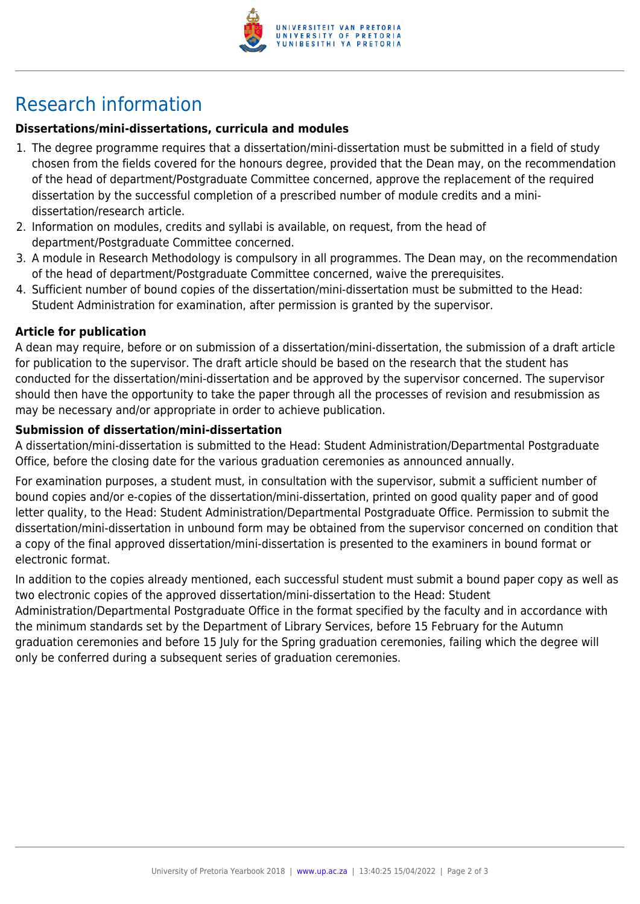

## Research information

### **Dissertations/mini-dissertations, curricula and modules**

- 1. The degree programme requires that a dissertation/mini-dissertation must be submitted in a field of study chosen from the fields covered for the honours degree, provided that the Dean may, on the recommendation of the head of department/Postgraduate Committee concerned, approve the replacement of the required dissertation by the successful completion of a prescribed number of module credits and a minidissertation/research article.
- 2. Information on modules, credits and syllabi is available, on request, from the head of department/Postgraduate Committee concerned.
- 3. A module in Research Methodology is compulsory in all programmes. The Dean may, on the recommendation of the head of department/Postgraduate Committee concerned, waive the prerequisites.
- 4. Sufficient number of bound copies of the dissertation/mini-dissertation must be submitted to the Head: Student Administration for examination, after permission is granted by the supervisor.

#### **Article for publication**

A dean may require, before or on submission of a dissertation/mini-dissertation, the submission of a draft article for publication to the supervisor. The draft article should be based on the research that the student has conducted for the dissertation/mini-dissertation and be approved by the supervisor concerned. The supervisor should then have the opportunity to take the paper through all the processes of revision and resubmission as may be necessary and/or appropriate in order to achieve publication.

#### **Submission of dissertation/mini-dissertation**

A dissertation/mini-dissertation is submitted to the Head: Student Administration/Departmental Postgraduate Office, before the closing date for the various graduation ceremonies as announced annually.

For examination purposes, a student must, in consultation with the supervisor, submit a sufficient number of bound copies and/or e-copies of the dissertation/mini-dissertation, printed on good quality paper and of good letter quality, to the Head: Student Administration/Departmental Postgraduate Office. Permission to submit the dissertation/mini-dissertation in unbound form may be obtained from the supervisor concerned on condition that a copy of the final approved dissertation/mini-dissertation is presented to the examiners in bound format or electronic format.

In addition to the copies already mentioned, each successful student must submit a bound paper copy as well as two electronic copies of the approved dissertation/mini-dissertation to the Head: Student

Administration/Departmental Postgraduate Office in the format specified by the faculty and in accordance with the minimum standards set by the Department of Library Services, before 15 February for the Autumn graduation ceremonies and before 15 July for the Spring graduation ceremonies, failing which the degree will only be conferred during a subsequent series of graduation ceremonies.